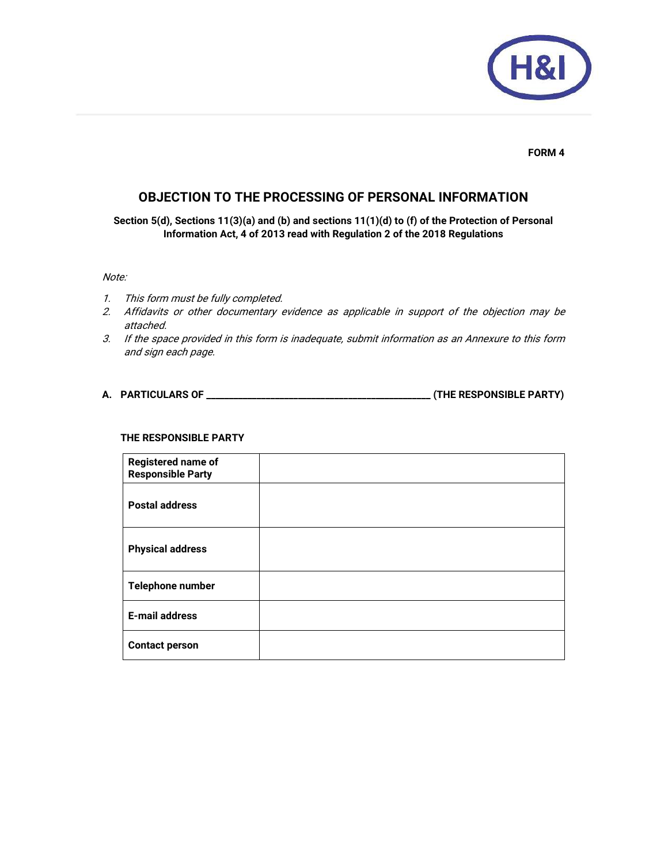

**FORM 4** 

# **OBJECTION TO THE PROCESSING OF PERSONAL INFORMATION**

**Section 5(d), Sections 11(3)(a) and (b) and sections 11(1)(d) to (f) of the Protection of Personal Information Act, 4 of 2013 read with Regulation 2 of the 2018 Regulations** 

### Note:

- 1. This form must be fully completed.
- 2. Affidavits or other documentary evidence as applicable in support of the objection may be attached.
- 3. If the space provided in this form is inadequate, submit information as an Annexure to this form and sign each page.
- **A. PARTICULARS OF \_\_\_\_\_\_\_\_\_\_\_\_\_\_\_\_\_\_\_\_\_\_\_\_\_\_\_\_\_\_\_\_\_\_\_\_\_\_\_\_\_\_\_\_\_\_\_\_\_ (THE RESPONSIBLE PARTY)**

#### **THE RESPONSIBLE PARTY**

| <b>Registered name of</b><br><b>Responsible Party</b> |  |
|-------------------------------------------------------|--|
| <b>Postal address</b>                                 |  |
| <b>Physical address</b>                               |  |
| Telephone number                                      |  |
| <b>E-mail address</b>                                 |  |
| <b>Contact person</b>                                 |  |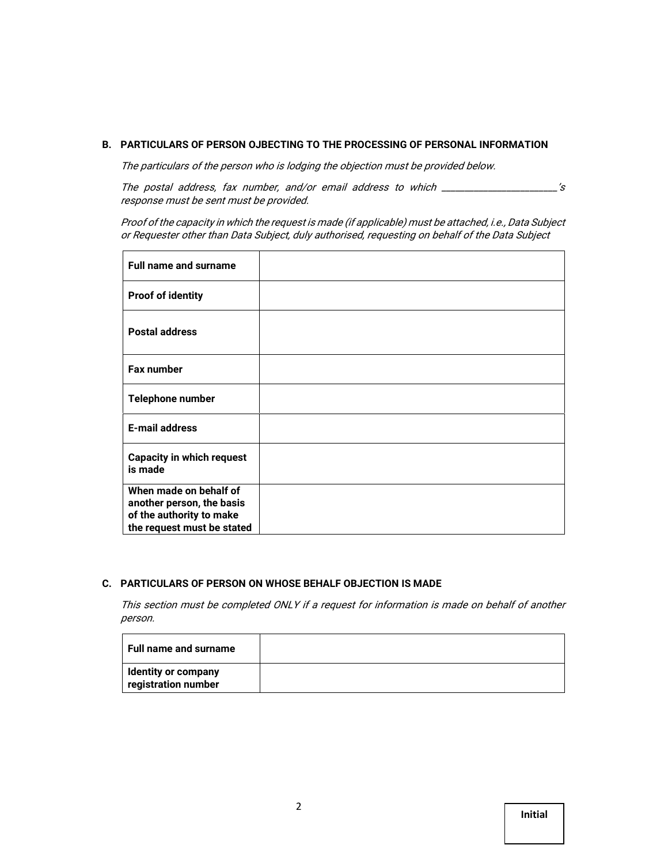### **B. PARTICULARS OF PERSON OJBECTING TO THE PROCESSING OF PERSONAL INFORMATION**

The particulars of the person who is lodging the objection must be provided below.

The postal address, fax number, and/or email address to which \_\_\_\_\_\_\_\_\_\_\_\_\_\_\_\_\_\_\_\_\_\_\_\_\_'s response must be sent must be provided.

Proof of the capacity in which the request is made (if applicable) must be attached, i.e., Data Subject or Requester other than Data Subject, duly authorised, requesting on behalf of the Data Subject

| <b>Full name and surname</b>                                                                                  |  |
|---------------------------------------------------------------------------------------------------------------|--|
| <b>Proof of identity</b>                                                                                      |  |
| <b>Postal address</b>                                                                                         |  |
| Fax number                                                                                                    |  |
| Telephone number                                                                                              |  |
| <b>E-mail address</b>                                                                                         |  |
| <b>Capacity in which request</b><br>is made                                                                   |  |
| When made on behalf of<br>another person, the basis<br>of the authority to make<br>the request must be stated |  |

## **C. PARTICULARS OF PERSON ON WHOSE BEHALF OBJECTION IS MADE**

This section must be completed ONLY if a request for information is made on behalf of another person.

| <b>Full name and surname</b>                      |  |
|---------------------------------------------------|--|
| <b>Identity or company</b><br>registration number |  |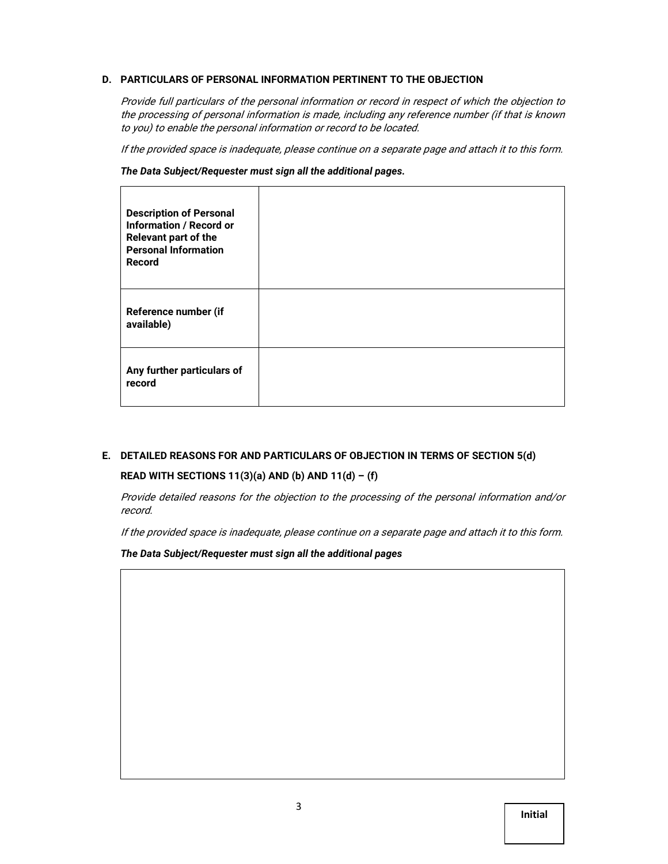# **D. PARTICULARS OF PERSONAL INFORMATION PERTINENT TO THE OBJECTION**

Provide full particulars of the personal information or record in respect of which the objection to the processing of personal information is made, including any reference number (if that is known to you) to enable the personal information or record to be located.

If the provided space is inadequate, please continue on a separate page and attach it to this form.

*The Data Subject/Requester must sign all the additional pages.*

| <b>Description of Personal</b><br><b>Information / Record or</b><br>Relevant part of the<br><b>Personal Information</b><br>Record |  |
|-----------------------------------------------------------------------------------------------------------------------------------|--|
| Reference number (if<br>available)                                                                                                |  |
| Any further particulars of<br>record                                                                                              |  |

# **E. DETAILED REASONS FOR AND PARTICULARS OF OBJECTION IN TERMS OF SECTION 5(d)**

### **READ WITH SECTIONS 11(3)(a) AND (b) AND 11(d) – (f)**

Provide detailed reasons for the objection to the processing of the personal information and/or record.

If the provided space is inadequate, please continue on a separate page and attach it to this form.

*The Data Subject/Requester must sign all the additional pages*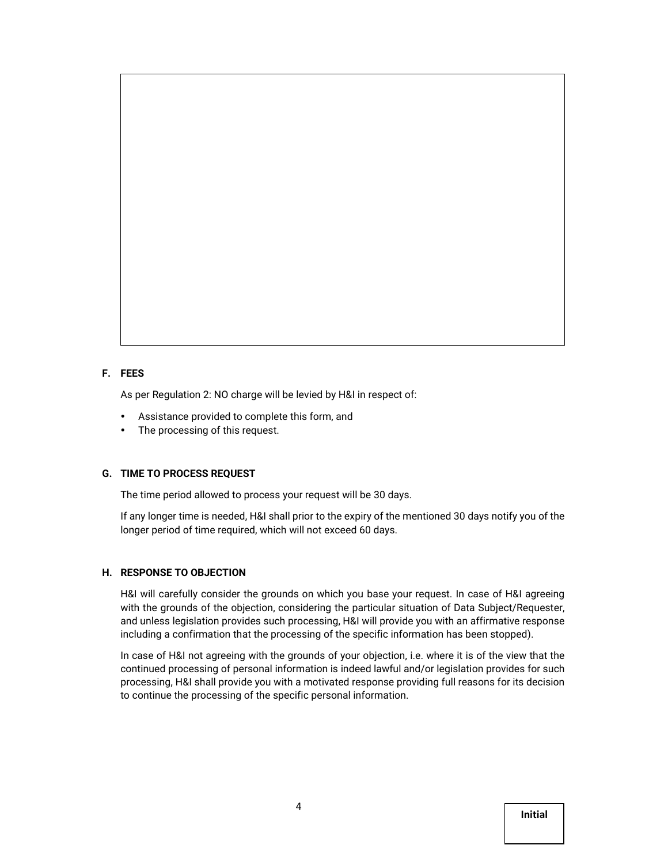### **F. FEES**

As per Regulation 2: NO charge will be levied by H&I in respect of:

- Assistance provided to complete this form, and
- The processing of this request.

### **G. TIME TO PROCESS REQUEST**

The time period allowed to process your request will be 30 days.

If any longer time is needed, H&I shall prior to the expiry of the mentioned 30 days notify you of the longer period of time required, which will not exceed 60 days.

### **H. RESPONSE TO OBJECTION**

H&I will carefully consider the grounds on which you base your request. In case of H&I agreeing with the grounds of the objection, considering the particular situation of Data Subject/Requester, and unless legislation provides such processing, H&I will provide you with an affirmative response including a confirmation that the processing of the specific information has been stopped).

In case of H&I not agreeing with the grounds of your objection, i.e. where it is of the view that the continued processing of personal information is indeed lawful and/or legislation provides for such processing, H&I shall provide you with a motivated response providing full reasons for its decision to continue the processing of the specific personal information.